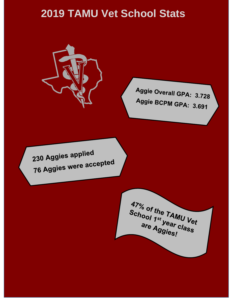## **2019 TAMU Vet School Stats**



Aggie Overall GPA: 3.728 Aggie BCPM GPA: 3.691

230 Aggies applied **230 Aggies were accepted** 

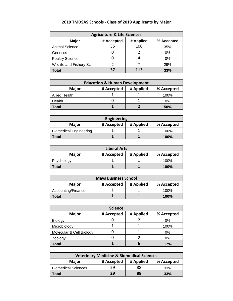| <b>Agriculture &amp; Life Sciences</b> |            |           |            |
|----------------------------------------|------------|-----------|------------|
| <b>Major</b>                           | # Accepted | # Applied | % Accepted |
| <b>Animal Science</b>                  | 35         | 100       | 35%        |
| Genetics                               |            |           | 0%         |
| <b>Poultry Science</b>                 |            |           | 0%         |
| Wildlife and Fishery Sci.              |            |           | 29%        |
| Total                                  | 37         | 113       | 33%        |

## **2019 TMDSAS Schools - Class of 2019 Applicants by Major**

| <b>Education &amp; Human Development</b>              |  |  |      |  |  |
|-------------------------------------------------------|--|--|------|--|--|
| # Applied<br>% Accepted<br><b>Major</b><br># Accepted |  |  |      |  |  |
| Allied Health                                         |  |  | 100% |  |  |
| Health                                                |  |  | 0%   |  |  |
| Total                                                 |  |  | 50%  |  |  |

| <b>Engineering</b>            |            |           |            |
|-------------------------------|------------|-----------|------------|
| <b>Major</b>                  | # Accepted | # Applied | % Accepted |
| <b>Biomedical Engineering</b> |            |           | 100%       |
| Total                         |            |           | 100%       |

| <b>Liberal Arts</b> |            |           |            |
|---------------------|------------|-----------|------------|
| <b>Major</b>        | # Accepted | # Applied | % Accepted |
| Psychology          |            |           | 100%       |
| Total               |            |           | 100%       |

| <b>Mays Business School</b> |            |           |            |
|-----------------------------|------------|-----------|------------|
| <b>Major</b>                | # Accepted | # Applied | % Accepted |
| Accounting/Finance          |            |           | 100%       |
| ⊺otal                       |            |           | 100%       |

| <b>Science</b>           |            |           |            |
|--------------------------|------------|-----------|------------|
| <b>Major</b>             | # Accepted | # Applied | % Accepted |
| Biology                  |            |           | 0%         |
| Microbiology             |            |           | 100%       |
| Molecular & Cell Biology |            |           | 0%         |
| Zoology                  |            |           | 0%         |
| Total                    |            | n         | 17%        |

| <b>Veterinary Medicine &amp; Biomedical Sciences</b> |            |           |            |
|------------------------------------------------------|------------|-----------|------------|
| <b>Major</b>                                         | # Accepted | # Applied | % Accepted |
| <b>Biomedical Sciences</b>                           | 29         | 88        | 33%        |
| Total                                                | 29         | 88        | 33%        |